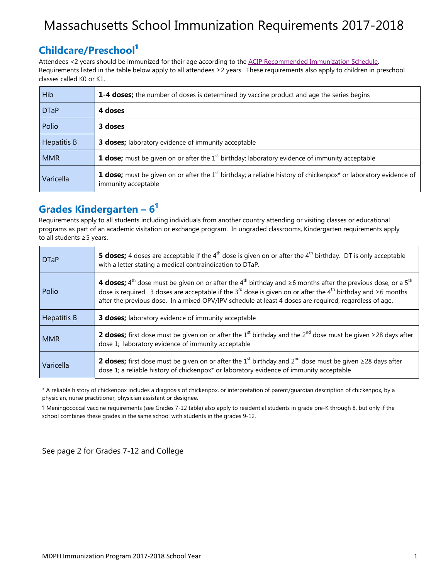## Massachusetts School Immunization Requirements 2017-2018

#### **Childcare/Preschool¶**

Attendees <2 years should be immunized for their age according to the ACIP Recommended Immunization Schedule. Requirements listed in the table below apply to all attendees ≥2 years. These requirements also apply to children in preschool classes called K0 or K1.

| Hib                | 1-4 doses; the number of doses is determined by vaccine product and age the series begins                                                                             |
|--------------------|-----------------------------------------------------------------------------------------------------------------------------------------------------------------------|
| <b>DTaP</b>        | 4 doses                                                                                                                                                               |
| Polio              | 3 doses                                                                                                                                                               |
| <b>Hepatitis B</b> | <b>3 doses;</b> laboratory evidence of immunity acceptable                                                                                                            |
| <b>MMR</b>         | <b>1 dose;</b> must be given on or after the 1 <sup>st</sup> birthday; laboratory evidence of immunity acceptable                                                     |
| Varicella          | <b>1 dose;</b> must be given on or after the 1 <sup>st</sup> birthday; a reliable history of chickenpox <sup>*</sup> or laboratory evidence of<br>immunity acceptable |

### **Grades Kindergarten – 6¶**

Requirements apply to all students including individuals from another country attending or visiting classes or educational programs as part of an academic visitation or exchange program. In ungraded classrooms, Kindergarten requirements apply to all students ≥5 years.

| <b>DTaP</b> | <b>5 doses;</b> 4 doses are acceptable if the $4th$ dose is given on or after the $4th$ birthday. DT is only acceptable<br>with a letter stating a medical contraindication to DTaP.                                                                                                                                                                                                                                  |
|-------------|-----------------------------------------------------------------------------------------------------------------------------------------------------------------------------------------------------------------------------------------------------------------------------------------------------------------------------------------------------------------------------------------------------------------------|
| Polio       | 4 <b>doses;</b> 4 <sup>th</sup> dose must be given on or after the 4 <sup>th</sup> birthday and $\geq$ 6 months after the previous dose, or a 5 <sup>th</sup><br>dose is required. 3 doses are acceptable if the 3 <sup>rd</sup> dose is given on or after the 4 <sup>th</sup> birthday and $\geq 6$ months<br>after the previous dose. In a mixed OPV/IPV schedule at least 4 doses are required, regardless of age. |
| Hepatitis B | <b>3 doses;</b> laboratory evidence of immunity acceptable                                                                                                                                                                                                                                                                                                                                                            |
| <b>MMR</b>  | <b>2 doses;</b> first dose must be given on or after the 1 <sup>st</sup> birthday and the 2 <sup>nd</sup> dose must be given $\geq$ 28 days after<br>dose 1; laboratory evidence of immunity acceptable                                                                                                                                                                                                               |
| Varicella   | <b>2 doses;</b> first dose must be given on or after the 1 <sup>st</sup> birthday and 2 <sup>nd</sup> dose must be given $\geq$ 28 days after<br>dose 1; a reliable history of chickenpox* or laboratory evidence of immunity acceptable                                                                                                                                                                              |

\* A reliable history of chickenpox includes a diagnosis of chickenpox, or interpretation of parent/guardian description of chickenpox, by a physician, nurse practitioner, physician assistant or designee.

¶ Meningococcal vaccine requirements (see Grades 7-12 table) also apply to residential students in grade pre-K through 8, but only if the school combines these grades in the same school with students in the grades 9-12.

See page 2 for Grades 7-12 and College